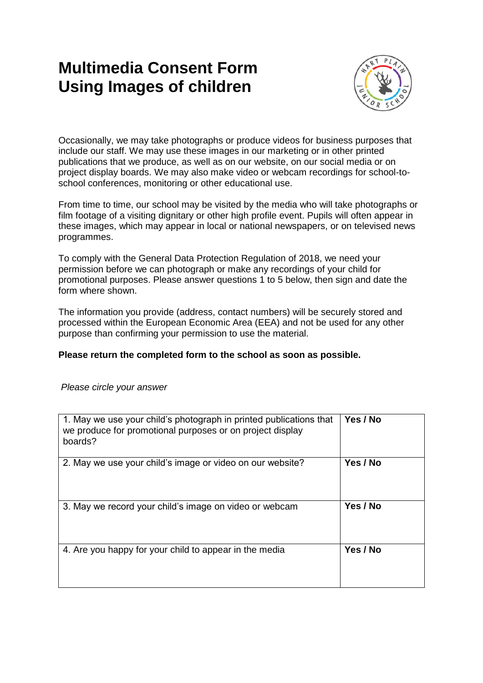## **Multimedia Consent Form Using Images of children**



Occasionally, we may take photographs or produce videos for business purposes that include our staff. We may use these images in our marketing or in other printed publications that we produce, as well as on our website, on our social media or on project display boards. We may also make video or webcam recordings for school-toschool conferences, monitoring or other educational use.

From time to time, our school may be visited by the media who will take photographs or film footage of a visiting dignitary or other high profile event. Pupils will often appear in these images, which may appear in local or national newspapers, or on televised news programmes.

To comply with the General Data Protection Regulation of 2018, we need your permission before we can photograph or make any recordings of your child for promotional purposes. Please answer questions 1 to 5 below, then sign and date the form where shown.

The information you provide (address, contact numbers) will be securely stored and processed within the European Economic Area (EEA) and not be used for any other purpose than confirming your permission to use the material.

## **Please return the completed form to the school as soon as possible.**

## *Please circle your answer*

| 1. May we use your child's photograph in printed publications that<br>we produce for promotional purposes or on project display<br>boards? | Yes / No |
|--------------------------------------------------------------------------------------------------------------------------------------------|----------|
| 2. May we use your child's image or video on our website?                                                                                  | Yes / No |
| 3. May we record your child's image on video or webcam                                                                                     | Yes / No |
| 4. Are you happy for your child to appear in the media                                                                                     | Yes / No |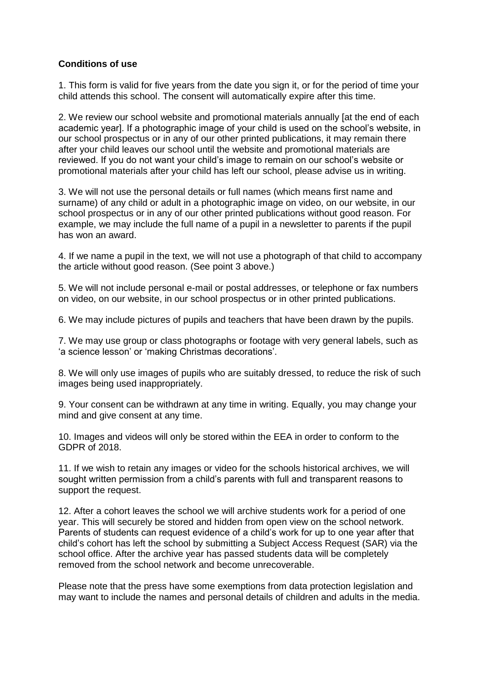## **Conditions of use**

1. This form is valid for five years from the date you sign it, or for the period of time your child attends this school. The consent will automatically expire after this time.

2. We review our school website and promotional materials annually [at the end of each academic year]. If a photographic image of your child is used on the school's website, in our school prospectus or in any of our other printed publications, it may remain there after your child leaves our school until the website and promotional materials are reviewed. If you do not want your child's image to remain on our school's website or promotional materials after your child has left our school, please advise us in writing.

3. We will not use the personal details or full names (which means first name and surname) of any child or adult in a photographic image on video, on our website, in our school prospectus or in any of our other printed publications without good reason. For example, we may include the full name of a pupil in a newsletter to parents if the pupil has won an award.

4. If we name a pupil in the text, we will not use a photograph of that child to accompany the article without good reason. (See point 3 above.)

5. We will not include personal e-mail or postal addresses, or telephone or fax numbers on video, on our website, in our school prospectus or in other printed publications.

6. We may include pictures of pupils and teachers that have been drawn by the pupils.

7. We may use group or class photographs or footage with very general labels, such as 'a science lesson' or 'making Christmas decorations'.

8. We will only use images of pupils who are suitably dressed, to reduce the risk of such images being used inappropriately.

9. Your consent can be withdrawn at any time in writing. Equally, you may change your mind and give consent at any time.

10. Images and videos will only be stored within the EEA in order to conform to the GDPR of 2018.

11. If we wish to retain any images or video for the schools historical archives, we will sought written permission from a child's parents with full and transparent reasons to support the request.

12. After a cohort leaves the school we will archive students work for a period of one year. This will securely be stored and hidden from open view on the school network. Parents of students can request evidence of a child's work for up to one year after that child's cohort has left the school by submitting a Subject Access Request (SAR) via the school office. After the archive year has passed students data will be completely removed from the school network and become unrecoverable.

Please note that the press have some exemptions from data protection legislation and may want to include the names and personal details of children and adults in the media.